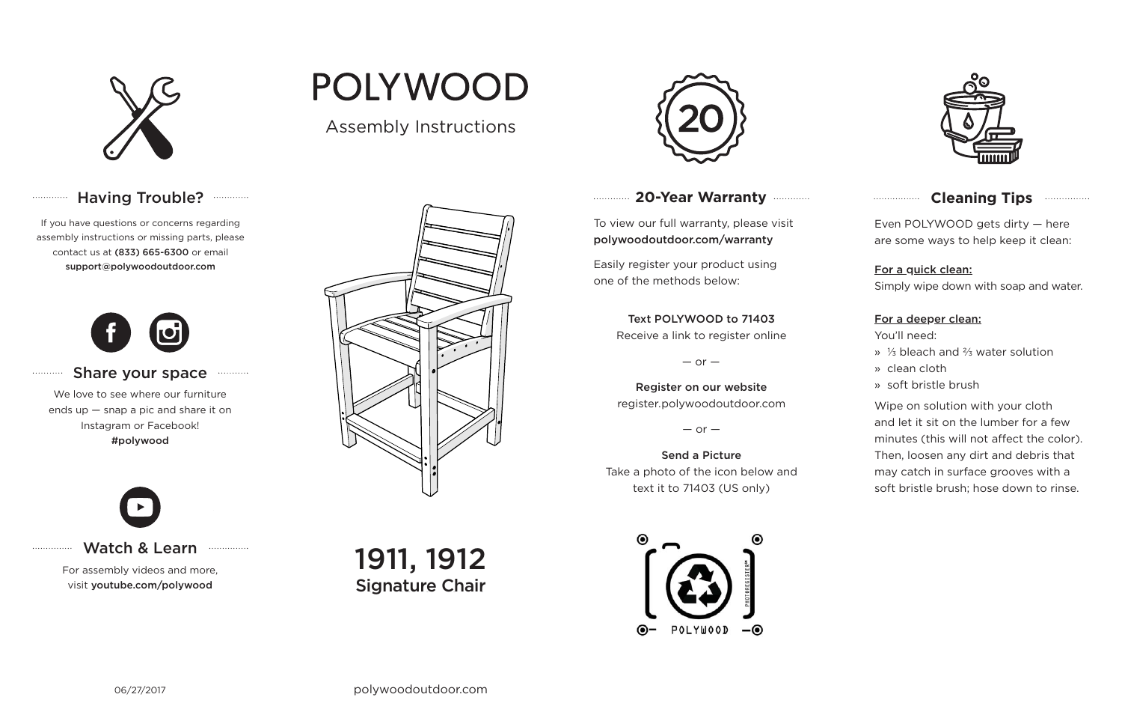

# Having Trouble? ............

06/27/2017

## **20-Year Warranty**

To view our full warranty, please visit polywoodoutdoor.com/warranty

Easily register your product using one of the methods below:

Even POLYWOOD gets dirty — here are some ways to help keep it clean:

#### For a quick clean:

Simply wipe down with soap and water.

#### For a deeper clean:

You'll need:

- » ⅓ bleach and ⅔ water solution
- » clean cloth
- » soft bristle brush

Wipe on solution with your cloth and let it sit on the lumber for a few minutes (this will not affect the color). Then, loosen any dirt and debris that may catch in surface grooves with a soft bristle brush; hose down to rinse.

#### Share your space . . . . . . . . . . .

### Text POLYWOOD to 71403

Receive a link to register online

 $-$  or  $-$ 

Register on our website register.polywoodoutdoor.com

 $-$  or  $-$ 

Send a PictureTake a photo of the icon below and text it to 71403 (US only)





## **Cleaning Tips manufacture Cleaning Tips**

Watch & Learn

For assembly videos and more, visit youtube.com/polywood



If you have questions or concerns regarding assembly instructions or missing parts, please contact us at (833) 665-6300 or email support@polywoodoutdoor.com

. . . . . . . . . . . . .

. . . . . . . . . . .

. . . . . . . . . . . . . .



We love to see where our furniture ends up — snap a pic and share it on Instagram or Facebook! #polywood

Assembly Instructions

**POLYWOOD** 

1911, 1912 Signature Chair